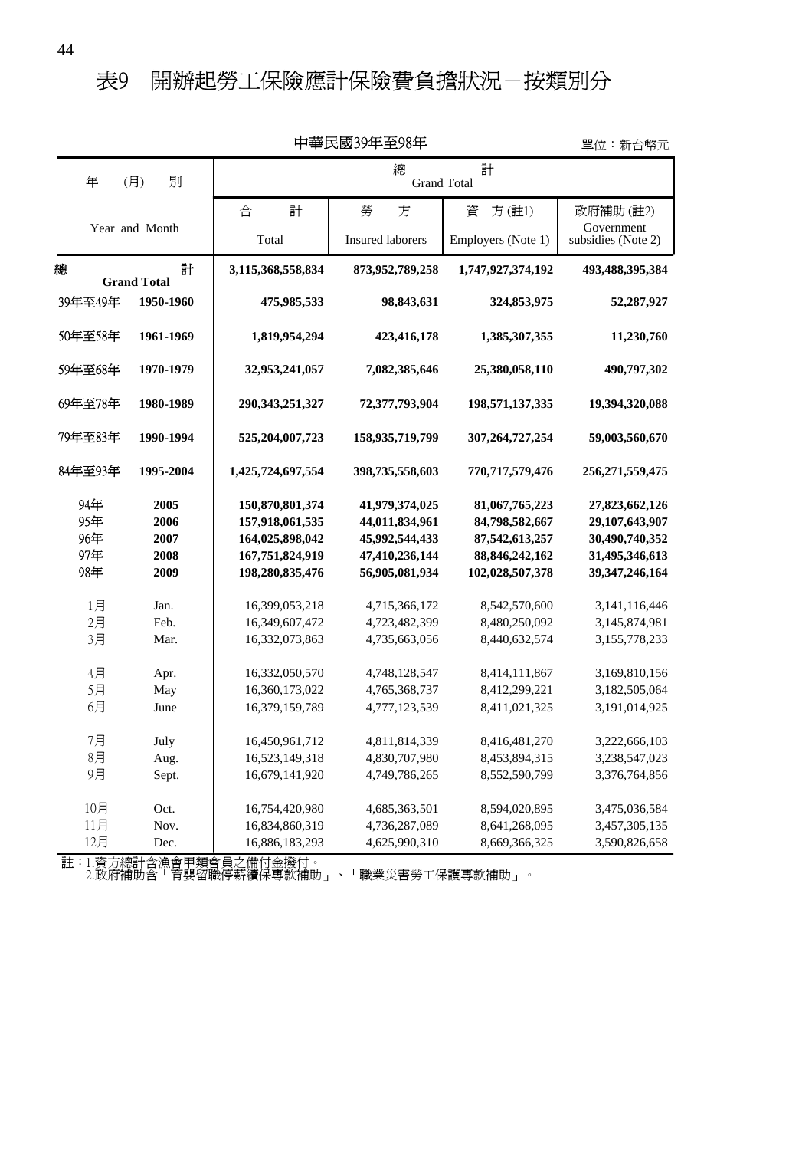### 表9 開辦起勞工保險應計保險費負擔狀況-按類別分

|                                 |                                      |                                                                                             | 甲華民國39年至98年                                                                            |                                                                                            | 單位:新台幣元                                                                                   |
|---------------------------------|--------------------------------------|---------------------------------------------------------------------------------------------|----------------------------------------------------------------------------------------|--------------------------------------------------------------------------------------------|-------------------------------------------------------------------------------------------|
| 年                               | 別<br>(月)                             | 計<br>總<br><b>Grand Total</b>                                                                |                                                                                        |                                                                                            |                                                                                           |
|                                 |                                      | 合<br>計                                                                                      | 勞<br>方                                                                                 | 資<br>方(註1)                                                                                 | 政府補助(註2)                                                                                  |
|                                 | Year and Month                       | Total                                                                                       | <b>Insured laborers</b>                                                                | Employers (Note 1)                                                                         | Government<br>subsidies (Note 2)                                                          |
| 總                               | 計<br><b>Grand Total</b>              | 3,115,368,558,834                                                                           | 873,952,789,258                                                                        | 1,747,927,374,192                                                                          | 493,488,395,384                                                                           |
| 39年至49年                         | 1950-1960                            | 475,985,533                                                                                 | 98,843,631                                                                             | 324,853,975                                                                                | 52,287,927                                                                                |
| 50年至58年                         | 1961-1969                            | 1,819,954,294                                                                               | 423,416,178                                                                            | 1,385,307,355                                                                              | 11,230,760                                                                                |
| 59年至68年                         | 1970-1979                            | 32,953,241,057                                                                              | 7,082,385,646                                                                          | 25,380,058,110                                                                             | 490,797,302                                                                               |
| 69年至78年                         | 1980-1989                            | 290, 343, 251, 327                                                                          | 72,377,793,904                                                                         | 198,571,137,335                                                                            | 19,394,320,088                                                                            |
| 79年至83年                         | 1990-1994                            | 525,204,007,723                                                                             | 158,935,719,799                                                                        | 307,264,727,254                                                                            | 59,003,560,670                                                                            |
| 84年至93年                         | 1995-2004                            | 1,425,724,697,554                                                                           | 398,735,558,603                                                                        | 770,717,579,476                                                                            | 256, 271, 559, 475                                                                        |
| 94年<br>95年<br>96年<br>97年<br>98年 | 2005<br>2006<br>2007<br>2008<br>2009 | 150,870,801,374<br>157,918,061,535<br>164,025,898,042<br>167,751,824,919<br>198,280,835,476 | 41,979,374,025<br>44,011,834,961<br>45,992,544,433<br>47,410,236,144<br>56,905,081,934 | 81,067,765,223<br>84,798,582,667<br>87,542,613,257<br>88, 846, 242, 162<br>102,028,507,378 | 27,823,662,126<br>29,107,643,907<br>30,490,740,352<br>31,495,346,613<br>39, 347, 246, 164 |
| 1月<br>2月<br>3月                  | Jan.<br>Feb.<br>Mar.                 | 16,399,053,218<br>16,349,607,472<br>16,332,073,863                                          | 4,715,366,172<br>4,723,482,399<br>4,735,663,056                                        | 8,542,570,600<br>8,480,250,092<br>8,440,632,574                                            | 3,141,116,446<br>3,145,874,981<br>3,155,778,233                                           |
| 4月<br>5月<br>6月                  | Apr.<br>May<br>June                  | 16,332,050,570<br>16,360,173,022<br>16,379,159,789                                          | 4,748,128,547<br>4,765,368,737<br>4,777,123,539                                        | 8,414,111,867<br>8,412,299,221<br>8,411,021,325                                            | 3,169,810,156<br>3,182,505,064<br>3,191,014,925                                           |
| 7月<br>8月<br>9月                  | July<br>Aug.<br>Sept.                | 16,450,961,712<br>16,523,149,318<br>16,679,141,920                                          | 4,811,814,339<br>4,830,707,980<br>4,749,786,265                                        | 8,416,481,270<br>8,453,894,315<br>8,552,590,799                                            | 3,222,666,103<br>3,238,547,023<br>3,376,764,856                                           |
| 10月<br>11月<br>12月               | Oct.<br>Nov.<br>Dec.                 | 16,754,420,980<br>16,834,860,319<br>16,886,183,293                                          | 4,685,363,501<br>4,736,287,089<br>4,625,990,310                                        | 8,594,020,895<br>8,641,268,095<br>8,669,366,325                                            | 3,475,036,584<br>3,457,305,135<br>3,590,826,658                                           |

中華民國39年至98年

註:1.資方總計含漁會甲類會員之備付金撥付。

2.政府補助含「育嬰留職停薪續保專款補助」、「職業災害勞工保護專款補助」。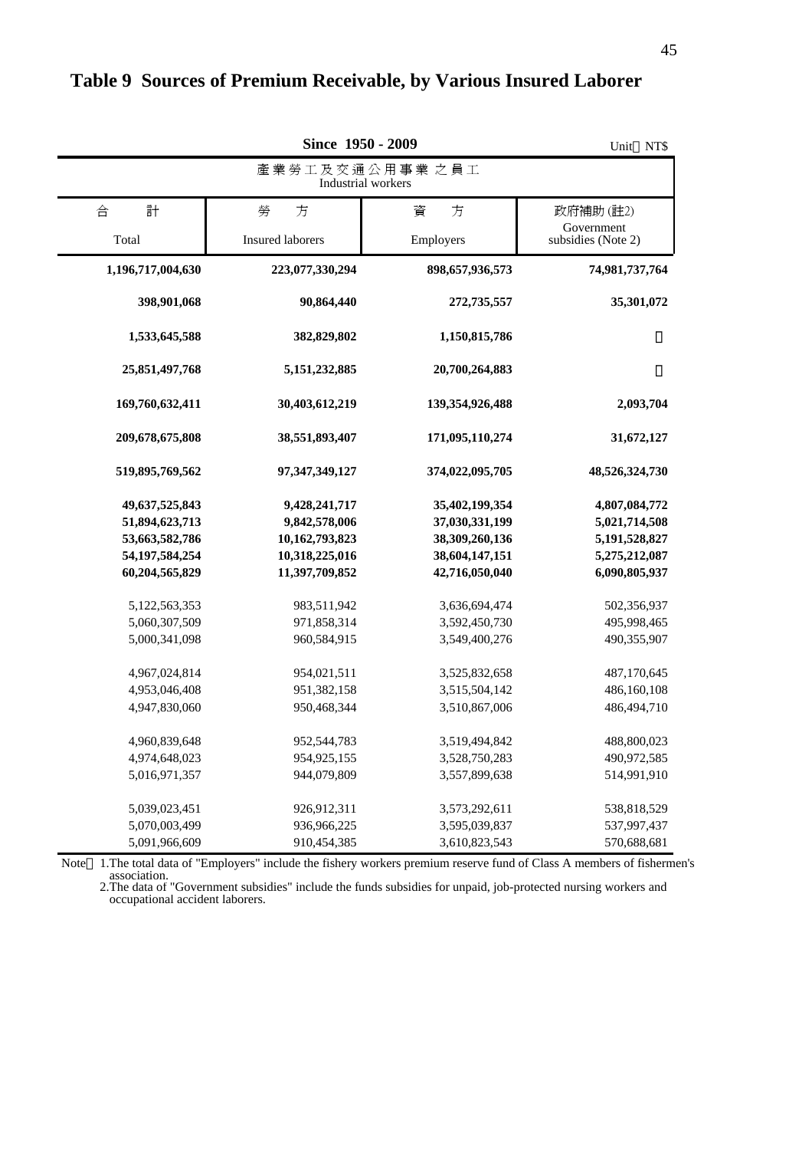|                                                                                           | Unit NT\$                                                                            |                                                                                        |                                                                                   |  |  |  |
|-------------------------------------------------------------------------------------------|--------------------------------------------------------------------------------------|----------------------------------------------------------------------------------------|-----------------------------------------------------------------------------------|--|--|--|
|                                                                                           | 產業勞工及交通公用事業 之員工<br>Industrial workers                                                |                                                                                        |                                                                                   |  |  |  |
| 計<br>合                                                                                    | 勞<br>方                                                                               | 方<br>資                                                                                 | 政府補助(註2)                                                                          |  |  |  |
| Total                                                                                     | Insured laborers                                                                     | Employers                                                                              | Government<br>subsidies (Note 2)                                                  |  |  |  |
| 1,196,717,004,630                                                                         | 223,077,330,294                                                                      | 898,657,936,573                                                                        | 74,981,737,764                                                                    |  |  |  |
| 398,901,068                                                                               | 90,864,440                                                                           | 272,735,557                                                                            | 35,301,072                                                                        |  |  |  |
| 1,533,645,588                                                                             | 382,829,802                                                                          | 1,150,815,786                                                                          |                                                                                   |  |  |  |
| 25,851,497,768                                                                            | 5, 151, 232, 885                                                                     | 20,700,264,883                                                                         |                                                                                   |  |  |  |
| 169,760,632,411                                                                           | 30,403,612,219                                                                       | 139,354,926,488                                                                        | 2,093,704                                                                         |  |  |  |
| 209,678,675,808                                                                           | 38,551,893,407                                                                       | 171,095,110,274                                                                        | 31,672,127                                                                        |  |  |  |
| 519,895,769,562                                                                           | 97, 347, 349, 127                                                                    | 374,022,095,705                                                                        | 48,526,324,730                                                                    |  |  |  |
| 49,637,525,843<br>51,894,623,713<br>53,663,582,786<br>54, 197, 584, 254<br>60,204,565,829 | 9,428,241,717<br>9,842,578,006<br>10,162,793,823<br>10,318,225,016<br>11,397,709,852 | 35,402,199,354<br>37,030,331,199<br>38,309,260,136<br>38,604,147,151<br>42,716,050,040 | 4,807,084,772<br>5,021,714,508<br>5,191,528,827<br>5,275,212,087<br>6,090,805,937 |  |  |  |
| 5,122,563,353<br>5,060,307,509<br>5,000,341,098                                           | 983,511,942<br>971,858,314<br>960,584,915                                            | 3,636,694,474<br>3,592,450,730<br>3,549,400,276                                        | 502,356,937<br>495,998,465<br>490,355,907                                         |  |  |  |
| 4,967,024,814<br>4,953,046,408<br>4,947,830,060                                           | 954,021,511<br>951,382,158<br>950,468,344                                            | 3,525,832,658<br>3,515,504,142<br>3,510,867,006                                        | 487,170,645<br>486,160,108<br>486,494,710                                         |  |  |  |
| 4,960,839,648<br>4,974,648,023<br>5,016,971,357                                           | 952,544,783<br>954,925,155<br>944,079,809                                            | 3,519,494,842<br>3,528,750,283<br>3,557,899,638                                        | 488,800,023<br>490,972,585<br>514,991,910                                         |  |  |  |
| 5,039,023,451<br>5,070,003,499<br>5,091,966,609                                           | 926,912,311<br>936,966,225<br>910,454,385                                            | 3,573,292,611<br>3,595,039,837<br>3,610,823,543                                        | 538,818,529<br>537,997,437<br>570,688,681                                         |  |  |  |

### **Table 9 Sources of Premium Receivable, by Various Insured Laborer**

 association. Note 1. The total data of "Employers" include the fishery workers premium reserve fund of Class A members of fishermen's

 occupational accident laborers. 2.The data of "Government subsidies" include the funds subsidies for unpaid, job-protected nursing workers and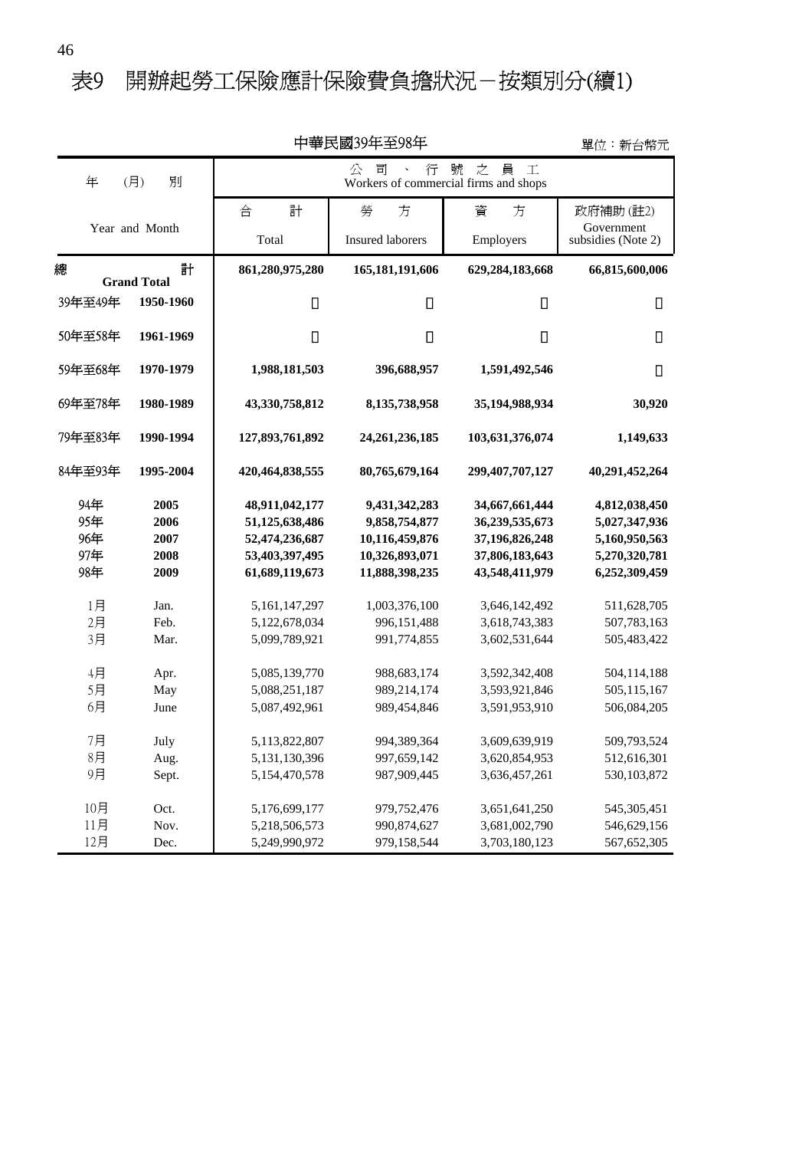# 表9 開辦起勞工保險應計保險費負擔狀況一按類別分(續1)

|                                 |                                      |                                                                                        | 屮芈氏図3ソ平王ソδ平                                                                          |                                                                                        | 單位:新台幣元                                                                           |
|---------------------------------|--------------------------------------|----------------------------------------------------------------------------------------|--------------------------------------------------------------------------------------|----------------------------------------------------------------------------------------|-----------------------------------------------------------------------------------|
| 年                               | 別<br>(月)                             | 之<br>$\perp$<br>號<br>員<br>司<br>行<br>公<br>Workers of commercial firms and shops         |                                                                                      |                                                                                        |                                                                                   |
|                                 |                                      | 合<br>計                                                                                 | 勞<br>方                                                                               | 資<br>方                                                                                 | 政府補助(註2)                                                                          |
|                                 | Year and Month                       | Total                                                                                  | <b>Insured laborers</b>                                                              | Employers                                                                              | Government<br>subsidies (Note 2)                                                  |
|                                 |                                      |                                                                                        |                                                                                      |                                                                                        |                                                                                   |
| 總                               | 計<br><b>Grand Total</b>              | 861,280,975,280                                                                        | 165, 181, 191, 606                                                                   | 629,284,183,668                                                                        | 66,815,600,006                                                                    |
| 39年至49年                         | 1950-1960                            |                                                                                        |                                                                                      |                                                                                        |                                                                                   |
|                                 |                                      |                                                                                        |                                                                                      |                                                                                        |                                                                                   |
| 50年至58年                         | 1961-1969                            |                                                                                        |                                                                                      |                                                                                        |                                                                                   |
| 59年至68年                         | 1970-1979                            | 1,988,181,503                                                                          | 396,688,957                                                                          | 1,591,492,546                                                                          |                                                                                   |
| 69年至78年                         | 1980-1989                            | 43,330,758,812                                                                         | 8,135,738,958                                                                        | 35,194,988,934                                                                         | 30,920                                                                            |
| 79年至83年                         | 1990-1994                            | 127,893,761,892                                                                        | 24, 261, 236, 185                                                                    | 103,631,376,074                                                                        | 1,149,633                                                                         |
| 84年至93年                         | 1995-2004                            | 420,464,838,555                                                                        | 80,765,679,164                                                                       | 299,407,707,127                                                                        | 40,291,452,264                                                                    |
| 94年<br>95年<br>96年<br>97年<br>98年 | 2005<br>2006<br>2007<br>2008<br>2009 | 48,911,042,177<br>51,125,638,486<br>52,474,236,687<br>53,403,397,495<br>61,689,119,673 | 9,431,342,283<br>9,858,754,877<br>10,116,459,876<br>10,326,893,071<br>11,888,398,235 | 34,667,661,444<br>36,239,535,673<br>37,196,826,248<br>37,806,183,643<br>43,548,411,979 | 4,812,038,450<br>5,027,347,936<br>5,160,950,563<br>5,270,320,781<br>6,252,309,459 |
| 1月<br>2月                        | Jan.<br>Feb.                         | 5, 161, 147, 297<br>5,122,678,034                                                      | 1,003,376,100<br>996,151,488                                                         | 3,646,142,492<br>3,618,743,383                                                         | 511,628,705<br>507,783,163                                                        |
| 3月<br>4月<br>5月<br>6月            | Mar.<br>Apr.<br>May<br>June          | 5,099,789,921<br>5,085,139,770<br>5,088,251,187<br>5,087,492,961                       | 991,774,855<br>988,683,174<br>989,214,174<br>989,454,846                             | 3,602,531,644<br>3,592,342,408<br>3,593,921,846<br>3,591,953,910                       | 505,483,422<br>504,114,188<br>505,115,167<br>506,084,205                          |
| 7月<br>8月<br>9月                  | July<br>Aug.<br>Sept.                | 5,113,822,807<br>5,131,130,396<br>5,154,470,578                                        | 994,389,364<br>997,659,142<br>987,909,445                                            | 3,609,639,919<br>3,620,854,953<br>3,636,457,261                                        | 509,793,524<br>512,616,301<br>530,103,872                                         |
| 10月<br>11月<br>12月               | Oct.<br>Nov.<br>Dec.                 | 5,176,699,177<br>5,218,506,573<br>5,249,990,972                                        | 979,752,476<br>990,874,627<br>979,158,544                                            | 3,651,641,250<br>3,681,002,790<br>3,703,180,123                                        | 545, 305, 451<br>546,629,156<br>567,652,305                                       |

中華民國39年至98年

單位:新台幣元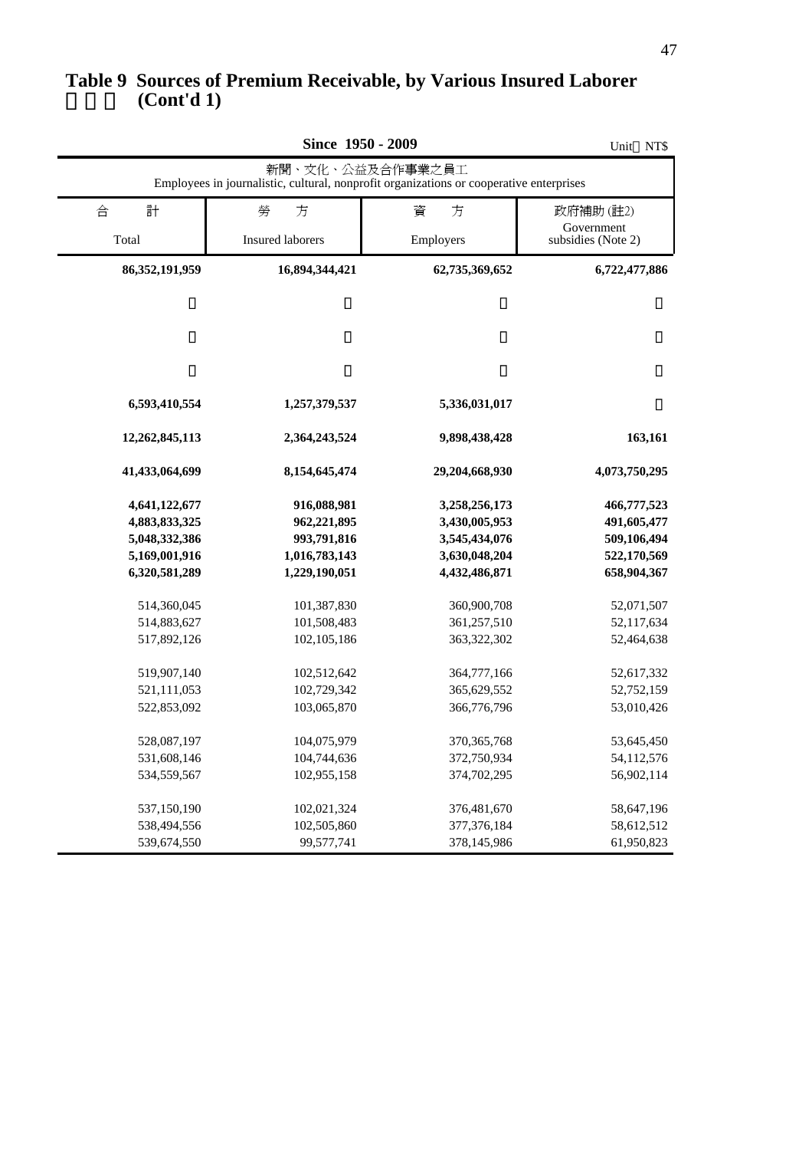#### **(Cont'd 1) Table 9 Sources of Premium Receivable, by Various Insured Laborer**

|                                                                                                             | NT\$<br>Unit                                                                |                                                                                   |                                                                         |  |  |  |
|-------------------------------------------------------------------------------------------------------------|-----------------------------------------------------------------------------|-----------------------------------------------------------------------------------|-------------------------------------------------------------------------|--|--|--|
| 新聞、文化、公益及合作事業之員工<br>Employees in journalistic, cultural, nonprofit organizations or cooperative enterprises |                                                                             |                                                                                   |                                                                         |  |  |  |
| 計<br>合                                                                                                      | 勞<br>方                                                                      | 方<br>資                                                                            | 政府補助(註2)                                                                |  |  |  |
| Total                                                                                                       | Insured laborers                                                            | Employers                                                                         | Government<br>subsidies (Note 2)                                        |  |  |  |
| 86, 352, 191, 959                                                                                           | 16,894,344,421                                                              | 62,735,369,652                                                                    | 6,722,477,886                                                           |  |  |  |
| 6,593,410,554                                                                                               | 1,257,379,537                                                               | 5,336,031,017                                                                     |                                                                         |  |  |  |
| 12,262,845,113                                                                                              | 2,364,243,524                                                               | 9,898,438,428                                                                     | 163,161                                                                 |  |  |  |
| 41,433,064,699                                                                                              | 8,154,645,474                                                               | 29,204,668,930                                                                    | 4,073,750,295                                                           |  |  |  |
| 4,641,122,677<br>4,883,833,325<br>5,048,332,386<br>5,169,001,916<br>6,320,581,289                           | 916,088,981<br>962,221,895<br>993,791,816<br>1,016,783,143<br>1,229,190,051 | 3,258,256,173<br>3,430,005,953<br>3,545,434,076<br>3,630,048,204<br>4,432,486,871 | 466,777,523<br>491,605,477<br>509,106,494<br>522,170,569<br>658,904,367 |  |  |  |
| 514,360,045<br>514,883,627<br>517,892,126                                                                   | 101,387,830<br>101,508,483<br>102,105,186                                   | 360,900,708<br>361,257,510<br>363,322,302                                         | 52,071,507<br>52,117,634<br>52,464,638                                  |  |  |  |
| 519,907,140<br>521,111,053<br>522,853,092                                                                   | 102,512,642<br>102,729,342<br>103,065,870                                   | 364,777,166<br>365,629,552<br>366,776,796                                         | 52,617,332<br>52,752,159<br>53,010,426                                  |  |  |  |
| 528,087,197<br>531,608,146<br>534,559,567                                                                   | 104,075,979<br>104,744,636<br>102,955,158                                   | 370, 365, 768<br>372,750,934<br>374,702,295                                       | 53,645,450<br>54,112,576<br>56,902,114                                  |  |  |  |
| 537,150,190<br>538,494,556<br>539,674,550                                                                   | 102,021,324<br>102,505,860<br>99,577,741                                    | 376,481,670<br>377,376,184<br>378,145,986                                         | 58,647,196<br>58,612,512<br>61,950,823                                  |  |  |  |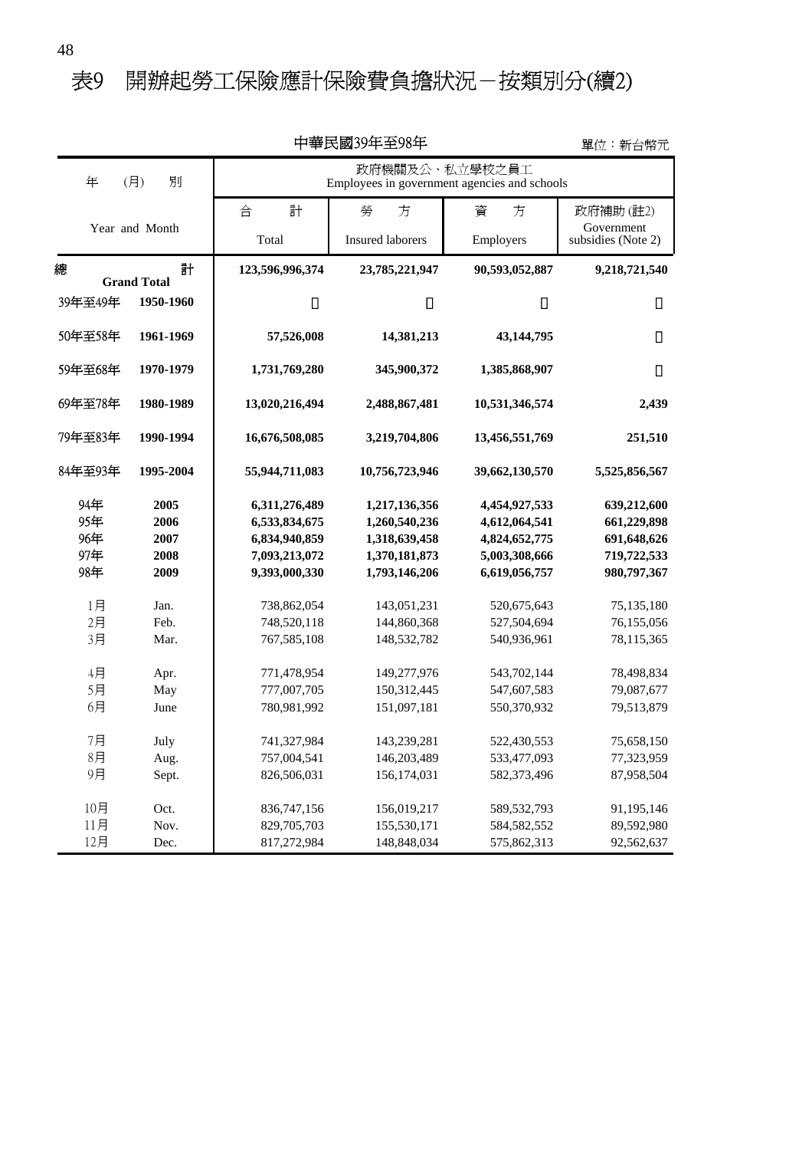### 表9 開辦起勞工保險應計保險費負擔狀況一按類別分(續2)

|                                 |                                      |                                                                                   | 甲華氏國39牛至98牛                                                                       |                                                                                   | 單位:新台幣元                                                                 |
|---------------------------------|--------------------------------------|-----------------------------------------------------------------------------------|-----------------------------------------------------------------------------------|-----------------------------------------------------------------------------------|-------------------------------------------------------------------------|
| 年                               | (月)<br>別                             | 政府機關及公、私立學校之員工<br>Employees in government agencies and schools                    |                                                                                   |                                                                                   |                                                                         |
|                                 |                                      | 計<br>合                                                                            | 勞<br>方                                                                            | 資<br>方                                                                            | 政府補助(註2)                                                                |
|                                 | Year and Month                       | Total                                                                             | <b>Insured laborers</b>                                                           | Employers                                                                         | Government<br>subsidies (Note 2)                                        |
| 總                               | 計                                    | 123,596,996,374                                                                   | 23,785,221,947                                                                    | 90,593,052,887                                                                    | 9,218,721,540                                                           |
| 39年至49年                         | <b>Grand Total</b><br>1950-1960      |                                                                                   |                                                                                   |                                                                                   |                                                                         |
| 50年至58年                         | 1961-1969                            | 57,526,008                                                                        | 14,381,213                                                                        | 43,144,795                                                                        |                                                                         |
| 59年至68年                         | 1970-1979                            | 1,731,769,280                                                                     | 345,900,372                                                                       | 1,385,868,907                                                                     |                                                                         |
| 69年至78年                         | 1980-1989                            | 13,020,216,494                                                                    | 2,488,867,481                                                                     | 10,531,346,574                                                                    | 2,439                                                                   |
| 79年至83年                         | 1990-1994                            | 16,676,508,085                                                                    | 3,219,704,806                                                                     | 13,456,551,769                                                                    | 251,510                                                                 |
| 84年至93年                         | 1995-2004                            | 55,944,711,083                                                                    | 10,756,723,946                                                                    | 39,662,130,570                                                                    | 5,525,856,567                                                           |
| 94年<br>95年<br>96年<br>97年<br>98年 | 2005<br>2006<br>2007<br>2008<br>2009 | 6,311,276,489<br>6,533,834,675<br>6,834,940,859<br>7,093,213,072<br>9,393,000,330 | 1,217,136,356<br>1,260,540,236<br>1,318,639,458<br>1,370,181,873<br>1,793,146,206 | 4,454,927,533<br>4,612,064,541<br>4,824,652,775<br>5,003,308,666<br>6,619,056,757 | 639,212,600<br>661,229,898<br>691,648,626<br>719,722,533<br>980,797,367 |
| 1月<br>2月<br>3月                  | Jan.<br>Feb.<br>Mar.                 | 738,862,054<br>748,520,118<br>767,585,108                                         | 143,051,231<br>144,860,368<br>148,532,782                                         | 520,675,643<br>527,504,694<br>540,936,961                                         | 75,135,180<br>76,155,056<br>78,115,365                                  |
| 4月<br>5月<br>6月                  | Apr.<br>May<br>June                  | 771,478,954<br>777,007,705<br>780,981,992                                         | 149,277,976<br>150,312,445<br>151,097,181                                         | 543,702,144<br>547,607,583<br>550,370,932                                         | 78,498,834<br>79,087,677<br>79,513,879                                  |
| 7月<br>8月<br>9月                  | July<br>Aug.<br>Sept.                | 741,327,984<br>757,004,541<br>826,506,031                                         | 143,239,281<br>146,203,489<br>156,174,031                                         | 522,430,553<br>533,477,093<br>582,373,496                                         | 75,658,150<br>77,323,959<br>87,958,504                                  |
| 10月<br>11月<br>12月               | Oct.<br>Nov.<br>Dec.                 | 836,747,156<br>829,705,703<br>817,272,984                                         | 156,019,217<br>155,530,171<br>148,848,034                                         | 589, 532, 793<br>584, 582, 552<br>575,862,313                                     | 91,195,146<br>89,592,980<br>92,562,637                                  |

中華民國39年至98年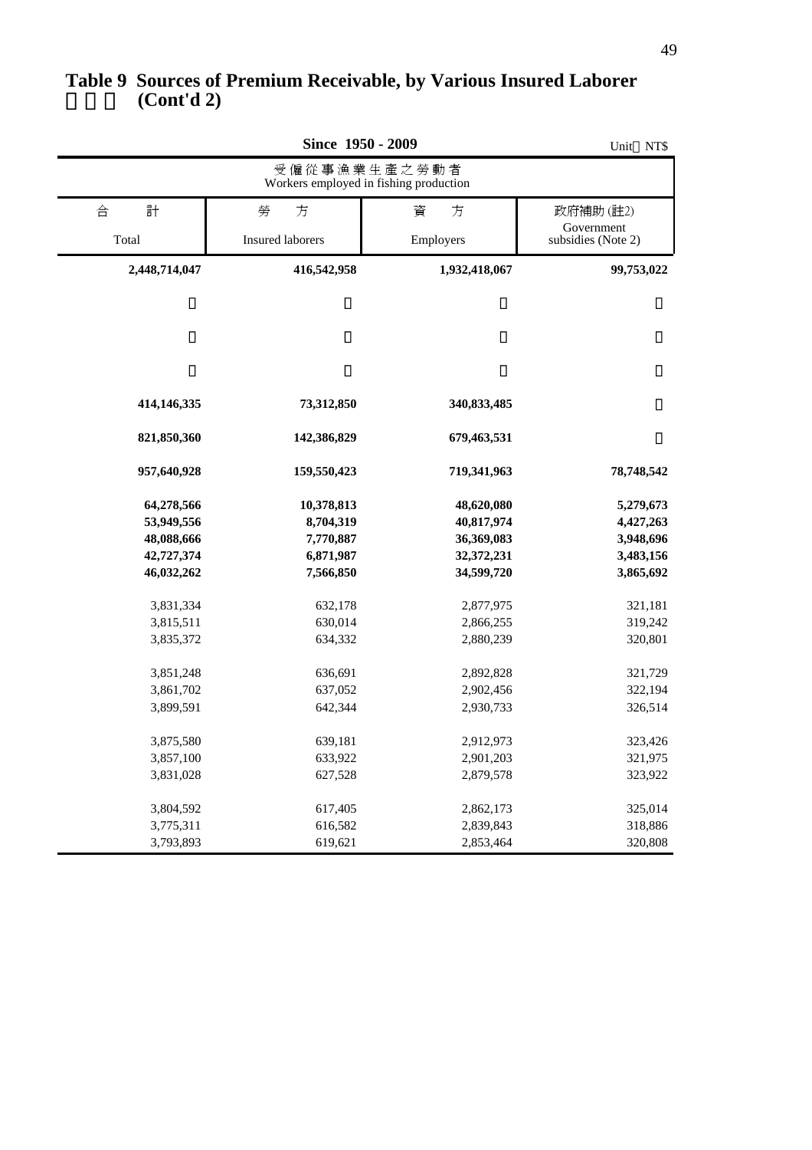#### **(Cont'd 2) Table 9 Sources of Premium Receivable, by Various Insured Laborer**

|                                                                    | Unit NT\$                                                      |                                                                    |                                                               |  |  |  |
|--------------------------------------------------------------------|----------------------------------------------------------------|--------------------------------------------------------------------|---------------------------------------------------------------|--|--|--|
| 受僱從事漁業生產之勞動者<br>Workers employed in fishing production             |                                                                |                                                                    |                                                               |  |  |  |
| 計<br>合                                                             | 勞<br>方                                                         | 方<br>資                                                             | 政府補助(註2)                                                      |  |  |  |
| Total                                                              | <b>Insured laborers</b>                                        | Employers                                                          | Government<br>subsidies (Note 2)                              |  |  |  |
| 2,448,714,047                                                      | 416,542,958                                                    | 1,932,418,067                                                      | 99,753,022                                                    |  |  |  |
| 414,146,335                                                        | 73,312,850                                                     | 340,833,485                                                        |                                                               |  |  |  |
| 821,850,360                                                        | 142,386,829                                                    | 679,463,531                                                        |                                                               |  |  |  |
| 957,640,928                                                        | 159,550,423                                                    | 719,341,963                                                        | 78,748,542                                                    |  |  |  |
| 64,278,566<br>53,949,556<br>48,088,666<br>42,727,374<br>46,032,262 | 10,378,813<br>8,704,319<br>7,770,887<br>6,871,987<br>7,566,850 | 48,620,080<br>40,817,974<br>36,369,083<br>32,372,231<br>34,599,720 | 5,279,673<br>4,427,263<br>3,948,696<br>3,483,156<br>3,865,692 |  |  |  |
| 3,831,334<br>3,815,511<br>3,835,372                                | 632,178<br>630,014<br>634,332                                  | 2,877,975<br>2,866,255<br>2,880,239                                | 321,181<br>319,242<br>320,801                                 |  |  |  |
| 3,851,248<br>3,861,702<br>3,899,591                                | 636,691<br>637,052<br>642,344                                  | 2,892,828<br>2,902,456<br>2,930,733                                | 321,729<br>322,194<br>326,514                                 |  |  |  |
| 3,875,580<br>3,857,100<br>3,831,028                                | 639,181<br>633,922<br>627,528                                  | 2,912,973<br>2,901,203<br>2,879,578                                | 323,426<br>321,975<br>323,922                                 |  |  |  |
| 3,804,592<br>3,775,311<br>3,793,893                                | 617,405<br>616,582<br>619,621                                  | 2,862,173<br>2,839,843<br>2,853,464                                | 325,014<br>318,886<br>320,808                                 |  |  |  |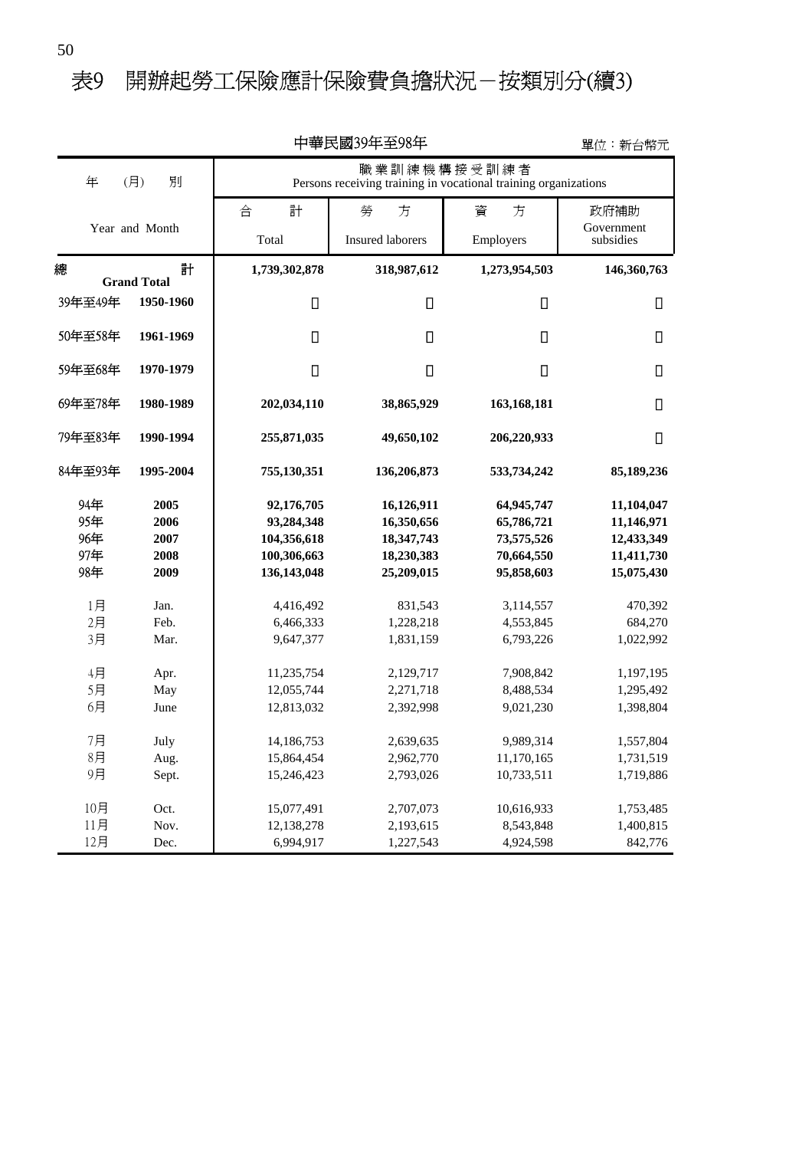### 表9 開辦起勞工保險應計保險費負擔狀況一按類別分(續3)

|                    |           |               | エギハ図ジナエル十                                                                      |               | 早1½・新旨幣兀                |
|--------------------|-----------|---------------|--------------------------------------------------------------------------------|---------------|-------------------------|
| 年<br>(月)           | 別         |               | 職業訓練機構接受訓練者<br>Persons receiving training in vocational training organizations |               |                         |
|                    |           | 合<br>計        | 勞<br>方                                                                         | 資<br>方        | 政府補助                    |
| Year and Month     |           | Total         | <b>Insured laborers</b>                                                        | Employers     | Government<br>subsidies |
|                    |           |               |                                                                                |               |                         |
| 總                  | 計         | 1,739,302,878 | 318,987,612                                                                    | 1,273,954,503 | 146,360,763             |
| <b>Grand Total</b> |           |               |                                                                                |               |                         |
| 39年至49年            | 1950-1960 |               |                                                                                |               |                         |
| 50年至58年            | 1961-1969 |               |                                                                                |               |                         |
| 59年至68年            | 1970-1979 |               |                                                                                |               |                         |
| 69年至78年            | 1980-1989 | 202,034,110   | 38,865,929                                                                     | 163,168,181   |                         |
| 79年至83年            | 1990-1994 | 255,871,035   | 49,650,102                                                                     | 206,220,933   |                         |
| 84年至93年            | 1995-2004 | 755,130,351   | 136,206,873                                                                    | 533,734,242   | 85,189,236              |
| 94年                | 2005      | 92,176,705    | 16,126,911                                                                     | 64,945,747    | 11,104,047              |
| 95年                | 2006      | 93,284,348    | 16,350,656                                                                     | 65,786,721    | 11,146,971              |
| 96年                | 2007      | 104,356,618   | 18,347,743                                                                     | 73,575,526    | 12,433,349              |
| 97年                | 2008      | 100,306,663   | 18,230,383                                                                     | 70,664,550    | 11,411,730              |
| 98年                | 2009      | 136,143,048   | 25,209,015                                                                     | 95,858,603    | 15,075,430              |
| 1月                 | Jan.      | 4,416,492     | 831,543                                                                        | 3,114,557     | 470,392                 |
| 2月                 | Feb.      | 6,466,333     | 1,228,218                                                                      | 4,553,845     | 684,270                 |
| 3月                 | Mar.      | 9,647,377     | 1,831,159                                                                      | 6,793,226     | 1,022,992               |
| 4月                 | Apr.      | 11,235,754    | 2,129,717                                                                      | 7,908,842     | 1,197,195               |
| 5月                 | May       | 12,055,744    | 2,271,718                                                                      | 8,488,534     | 1,295,492               |
| 6月                 | June      | 12,813,032    | 2,392,998                                                                      | 9,021,230     | 1,398,804               |
|                    |           |               |                                                                                |               |                         |
| 7月                 | July      | 14,186,753    | 2,639,635                                                                      | 9,989,314     | 1,557,804               |
| 8月                 | Aug.      | 15,864,454    | 2,962,770                                                                      | 11,170,165    | 1,731,519               |
| 9月                 | Sept.     | 15,246,423    | 2,793,026                                                                      | 10,733,511    | 1,719,886               |
| 10月                | Oct.      | 15,077,491    | 2,707,073                                                                      | 10,616,933    | 1,753,485               |
| 11月                | Nov.      | 12,138,278    | 2,193,615                                                                      | 8,543,848     | 1,400,815               |
| 12月                | Dec.      | 6,994,917     | 1,227,543                                                                      | 4,924,598     | 842,776                 |

單位:新台幣元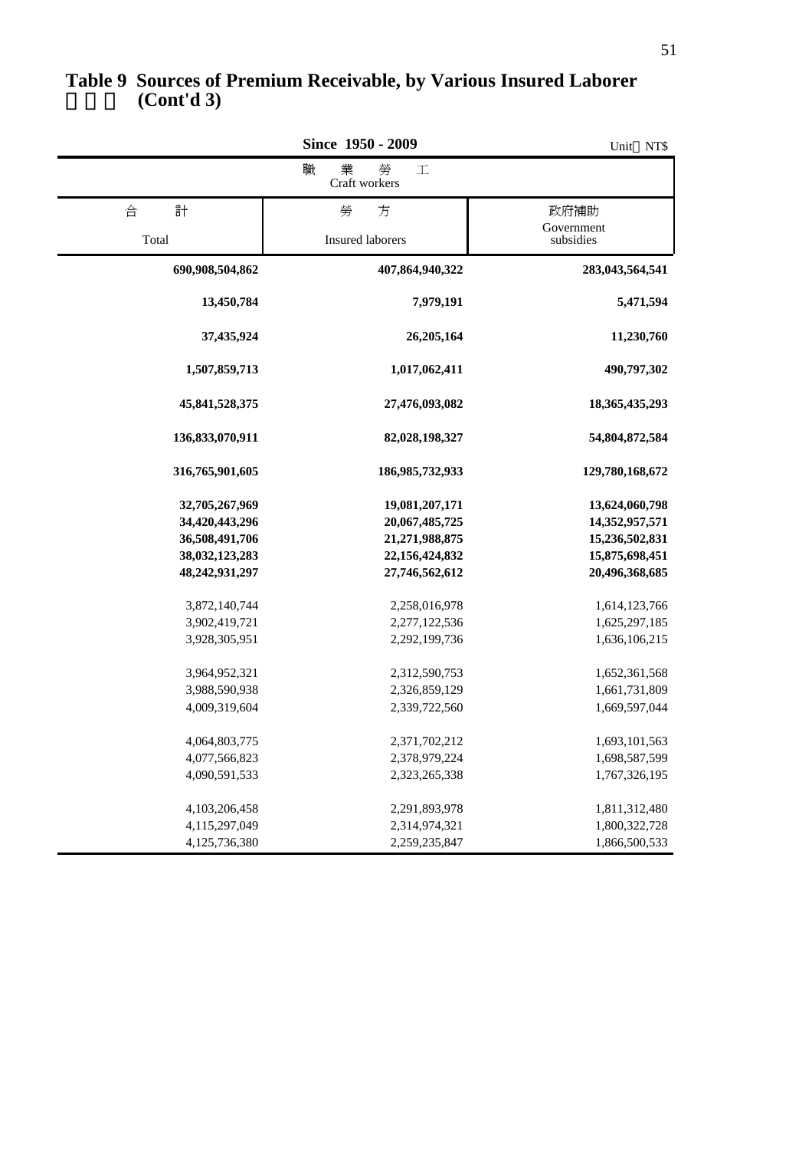|                                                                                        | Since 1950 - 2009                                                                      | Unit NT\$                                                                              |
|----------------------------------------------------------------------------------------|----------------------------------------------------------------------------------------|----------------------------------------------------------------------------------------|
|                                                                                        | 業<br>勞<br>職<br>$\mathbbm{1}$<br>Craft workers                                          |                                                                                        |
| 計<br>合                                                                                 | 勞<br>方                                                                                 | 政府補助                                                                                   |
| Total                                                                                  | Insured laborers                                                                       | Government<br>subsidies                                                                |
| 690,908,504,862                                                                        | 407,864,940,322                                                                        | 283,043,564,541                                                                        |
| 13,450,784                                                                             | 7,979,191                                                                              | 5,471,594                                                                              |
| 37,435,924                                                                             | 26,205,164                                                                             | 11,230,760                                                                             |
| 1,507,859,713                                                                          | 1,017,062,411                                                                          | 490,797,302                                                                            |
| 45,841,528,375                                                                         | 27,476,093,082                                                                         | 18,365,435,293                                                                         |
| 136,833,070,911                                                                        | 82,028,198,327                                                                         | 54,804,872,584                                                                         |
| 316,765,901,605                                                                        | 186,985,732,933                                                                        | 129,780,168,672                                                                        |
| 32,705,267,969<br>34,420,443,296<br>36,508,491,706<br>38,032,123,283<br>48,242,931,297 | 19,081,207,171<br>20,067,485,725<br>21,271,988,875<br>22,156,424,832<br>27,746,562,612 | 13,624,060,798<br>14,352,957,571<br>15,236,502,831<br>15,875,698,451<br>20,496,368,685 |
| 3,872,140,744<br>3,902,419,721<br>3,928,305,951                                        | 2,258,016,978<br>2,277,122,536<br>2,292,199,736                                        | 1,614,123,766<br>1,625,297,185<br>1,636,106,215                                        |
| 3,964,952,321<br>3,988,590,938<br>4,009,319,604                                        | 2,312,590,753<br>2,326,859,129<br>2,339,722,560                                        | 1,652,361,568<br>1,661,731,809<br>1,669,597,044                                        |
| 4,064,803,775<br>4,077,566,823<br>4,090,591,533                                        | 2,371,702,212<br>2,378,979,224<br>2,323,265,338                                        | 1,693,101,563<br>1,698,587,599<br>1,767,326,195                                        |
| 4,103,206,458<br>4,115,297,049<br>4,125,736,380                                        | 2,291,893,978<br>2,314,974,321<br>2,259,235,847                                        | 1,811,312,480<br>1,800,322,728<br>1,866,500,533                                        |

#### **(Cont'd 3) Table 9 Sources of Premium Receivable, by Various Insured Laborer**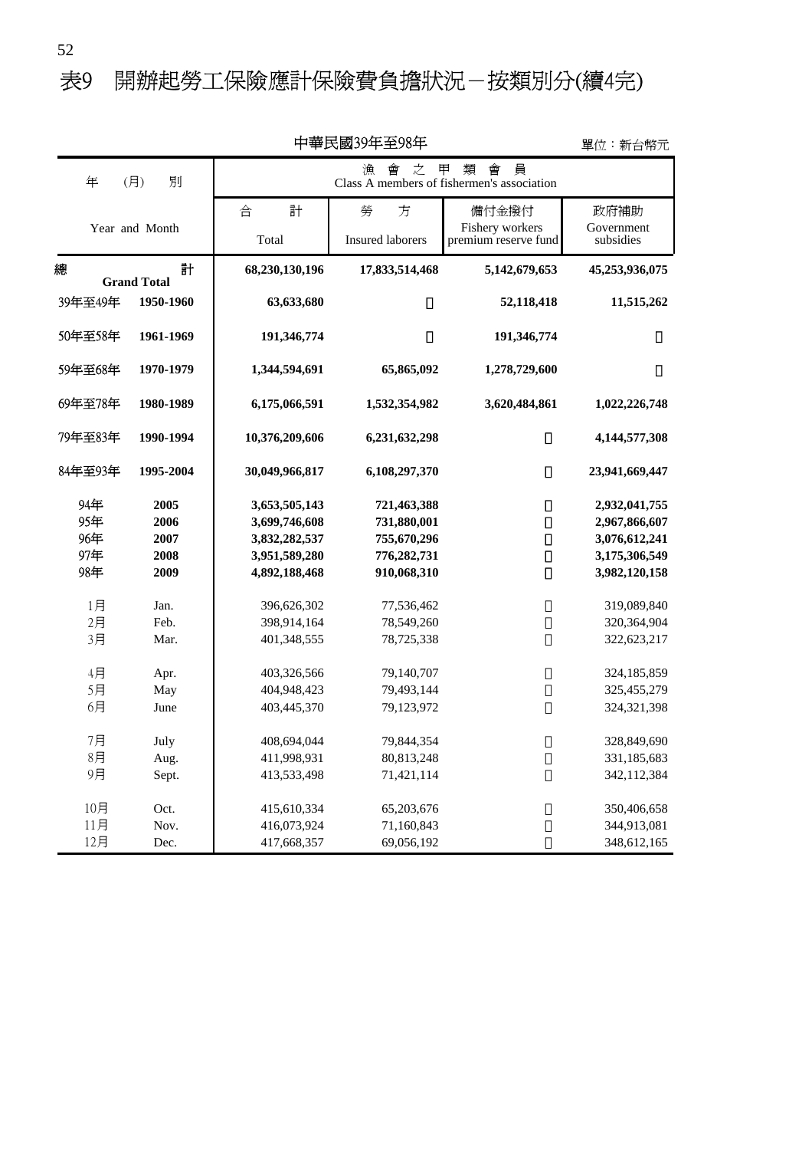# 表9 開辦起勞工保險應計保險費負擔狀況-按類別分(續4完)

| 十亊氏図コン+土ン0+<br>車位:新台幣元 |                                                                |                |                         |                      |                |
|------------------------|----------------------------------------------------------------|----------------|-------------------------|----------------------|----------------|
| 年<br>(月)               | 員<br>甲<br>類<br>會<br>Class A members of fishermen's association |                |                         |                      |                |
|                        |                                                                | 合<br>計         | 勞<br>方                  | 備付金撥付                | 政府補助           |
|                        | Year and Month                                                 |                |                         | Fishery workers      | Government     |
|                        |                                                                | Total          | <b>Insured laborers</b> | premium reserve fund | subsidies      |
| 總                      | 計<br><b>Grand Total</b>                                        | 68,230,130,196 | 17,833,514,468          | 5,142,679,653        | 45,253,936,075 |
| 39年至49年                | 1950-1960                                                      | 63,633,680     |                         | 52,118,418           | 11,515,262     |
| 50年至58年                | 1961-1969                                                      | 191,346,774    |                         | 191,346,774          |                |
| 59年至68年                | 1970-1979                                                      | 1,344,594,691  | 65,865,092              | 1,278,729,600        |                |
| 69年至78年                | 1980-1989                                                      | 6,175,066,591  | 1,532,354,982           | 3,620,484,861        | 1,022,226,748  |
| 79年至83年                | 1990-1994                                                      | 10,376,209,606 | 6,231,632,298           |                      | 4,144,577,308  |
| 84年至93年                | 1995-2004                                                      | 30,049,966,817 | 6,108,297,370           |                      | 23,941,669,447 |
| 94年                    | 2005                                                           | 3,653,505,143  | 721,463,388             |                      | 2,932,041,755  |
| 95年                    | 2006                                                           | 3,699,746,608  | 731,880,001             |                      | 2,967,866,607  |
| 96年                    | 2007                                                           | 3,832,282,537  | 755,670,296             |                      | 3,076,612,241  |
| 97年                    | 2008                                                           | 3,951,589,280  | 776,282,731             |                      | 3,175,306,549  |
| 98年                    | 2009                                                           | 4,892,188,468  | 910,068,310             |                      | 3,982,120,158  |
| 1月                     | Jan.                                                           | 396,626,302    | 77,536,462              |                      | 319,089,840    |
| 2月                     | Feb.                                                           | 398,914,164    | 78,549,260              |                      | 320,364,904    |
| 3月                     | Mar.                                                           | 401,348,555    | 78,725,338              |                      | 322,623,217    |
|                        |                                                                |                |                         |                      |                |
| 4月                     | Apr.                                                           | 403,326,566    | 79,140,707              |                      | 324,185,859    |
| 5月                     | May                                                            | 404,948,423    | 79,493,144              |                      | 325,455,279    |
| 6月                     | June                                                           | 403,445,370    | 79,123,972              |                      | 324,321,398    |
|                        |                                                                |                |                         |                      |                |
| 7月                     | July                                                           | 408,694,044    | 79,844,354              |                      | 328,849,690    |
| 8月                     | Aug.                                                           | 411,998,931    | 80,813,248              |                      | 331,185,683    |
| 9月                     | Sept.                                                          | 413,533,498    | 71,421,114              |                      | 342,112,384    |
| 10月                    | Oct.                                                           | 415,610,334    | 65,203,676              |                      | 350,406,658    |
| 11月                    | Nov.                                                           | 416,073,924    | 71,160,843              |                      | 344,913,081    |
| 12月                    | Dec.                                                           | 417,668,357    | 69,056,192              |                      | 348,612,165    |
|                        |                                                                |                |                         |                      |                |

中華民國39年至98年

單位:新台幣元